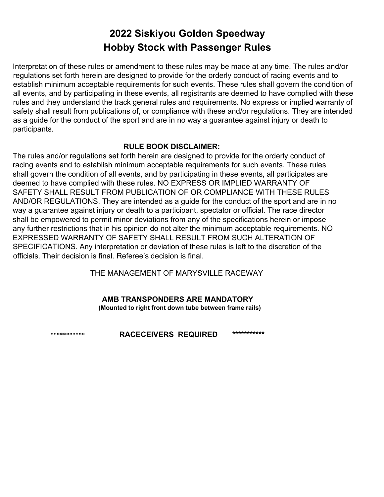# **2022 Siskiyou Golden Speedway Hobby Stock with Passenger Rules**

Interpretation of these rules or amendment to these rules may be made at any time. The rules and/or regulations set forth herein are designed to provide for the orderly conduct of racing events and to establish minimum acceptable requirements for such events. These rules shall govern the condition of all events, and by participating in these events, all registrants are deemed to have complied with these rules and they understand the track general rules and requirements. No express or implied warranty of safety shall result from publications of, or compliance with these and/or regulations. They are intended as a guide for the conduct of the sport and are in no way a guarantee against injury or death to participants.

#### **RULE BOOK DISCLAIMER:**

The rules and/or regulations set forth herein are designed to provide for the orderly conduct of racing events and to establish minimum acceptable requirements for such events. These rules shall govern the condition of all events, and by participating in these events, all participates are deemed to have complied with these rules. NO EXPRESS OR IMPLIED WARRANTY OF SAFETY SHALL RESULT FROM PUBLICATION OF OR COMPLIANCE WITH THESE RULES AND/OR REGULATIONS. They are intended as a guide for the conduct of the sport and are in no way a guarantee against injury or death to a participant, spectator or official. The race director shall be empowered to permit minor deviations from any of the specifications herein or impose any further restrictions that in his opinion do not alter the minimum acceptable requirements. NO EXPRESSED WARRANTY OF SAFETY SHALL RESULT FROM SUCH ALTERATION OF SPECIFICATIONS. Any interpretation or deviation of these rules is left to the discretion of the officials. Their decision is final. Referee's decision is final.

THE MANAGEMENT OF MARYSVILLE RACEWAY

#### **AMB TRANSPONDERS ARE MANDATORY (Mounted to right front down tube between frame rails)**

\*\*\*\*\*\*\*\*\*\*\* **RACECEIVERS REQUIRED \*\*\*\*\*\*\*\*\*\*\***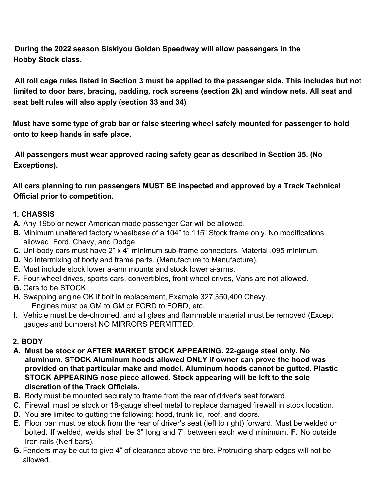**During the 2022 season Siskiyou Golden Speedway will allow passengers in the Hobby Stock class.**

All roll cage rules listed in Section 3 must be applied to the passenger side. This includes but not **limited to door bars, bracing, padding, rock screens (section 2k) and window nets. All seat and seat belt rules will also apply (section 33 and 34)**

**Must have some type of grab bar or false steering wheel safely mounted for passenger to hold onto to keep hands in safe place.**

**All passengers must wear approved racing safety gear as described in Section 35. (No Exceptions).**

**All cars planning to run passengers MUST BE inspected and approved by a Track Technical Official prior to competition.**

#### **1. CHASSIS**

- **A.** Any 1955 or newer American made passenger Car will be allowed.
- **B.** Minimum unaltered factory wheelbase of a 104" to 115" Stock frame only. No modifications allowed. Ford, Chevy, and Dodge.
- **C.** Uni-body cars must have 2" x 4" minimum sub-frame connectors, Material .095 minimum.
- **D.** No intermixing of body and frame parts. (Manufacture to Manufacture).
- **E.** Must include stock lower a-arm mounts and stock lower a-arms.
- **F.** Four-wheel drives, sports cars, convertibles, front wheel drives, Vans are not allowed.
- **G.** Cars to be STOCK.
- **H.** Swapping engine OK if bolt in replacement, Example 327,350,400 Chevy. Engines must be GM to GM or FORD to FORD, etc.
- **I.** Vehicle must be de-chromed, and all glass and flammable material must be removed (Except gauges and bumpers) NO MIRRORS PERMITTED.

#### **2. BODY**

- **A. Must be stock or AFTER MARKET STOCK APPEARING. 22-gauge steel only. No aluminum. STOCK Aluminum hoods allowed ONLY if owner can prove the hood was provided on that particular make and model. Aluminum hoods cannot be gutted. Plastic STOCK APPEARING nose piece allowed. Stock appearing will be left to the sole discretion of the Track Officials.**
- **B.** Body must be mounted securely to frame from the rear of driver's seat forward.
- **C.** Firewall must be stock or 18-gauge sheet metal to replace damaged firewall in stock location.
- **D.** You are limited to gutting the following: hood, trunk lid, roof, and doors.
- **E.** Floor pan must be stock from the rear of driver's seat (left to right) forward. Must be welded or bolted. If welded, welds shall be 3" long and 7" between each weld minimum. **F.** No outside Iron rails (Nerf bars).
- **G.** Fenders may be cut to give 4" of clearance above the tire. Protruding sharp edges will not be allowed.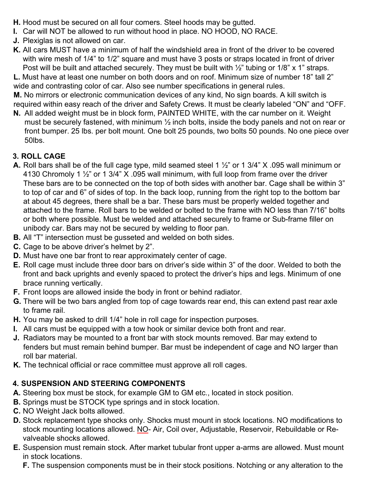- **H.** Hood must be secured on all four comers. Steel hoods may be gutted.
- **I.** Car will NOT be allowed to run without hood in place. NO HOOD, NO RACE.
- **J.** Plexiglas is not allowed on car.
- **K.** All cars MUST have a minimum of half the windshield area in front of the driver to be covered with wire mesh of 1/4" to 1/2" square and must have 3 posts or straps located in front of driver Post will be built and attached securely. They must be built with 1/2" tubing or 1/8" x 1" straps.

**L.** Must have at least one number on both doors and on roof. Minimum size of number 18" tall 2" wide and contrasting color of car. Also see number specifications in general rules.

**M.** No mirrors or electronic communication devices of any kind, No sign boards. A kill switch is required within easy reach of the driver and Safety Crews. It must be clearly labeled "ON" and "OFF.

**N.** All added weight must be in block form, PAINTED WHITE, with the car number on it. Weight must be securely fastened, with minimum  $\frac{1}{2}$  inch bolts, inside the body panels and not on rear or front bumper. 25 lbs. per bolt mount. One bolt 25 pounds, two bolts 50 pounds. No one piece over 50lbs.

#### **3. ROLL CAGE**

- **A.** Roll bars shall be of the full cage type, mild seamed steel 1 ½" or 1 3/4" X .095 wall minimum or 4130 Chromoly 1 ½" or 1 3/4" X .095 wall minimum, with full loop from frame over the driver These bars are to be connected on the top of both sides with another bar. Cage shall be within 3" to top of car and 6" of sides of top. In the back loop, running from the right top to the bottom bar at about 45 degrees, there shall be a bar. These bars must be properly welded together and attached to the frame. Roll bars to be welded or bolted to the frame with NO less than 7/16" bolts or both where possible. Must be welded and attached securely to frame or Sub-frame filler on unibody car. Bars may not be secured by welding to floor pan.
- **B.** All "T" intersection must be gusseted and welded on both sides.
- **C.** Cage to be above driver's helmet by 2".
- **D.** Must have one bar front to rear approximately center of cage.
- **E.** Roll cage must include three door bars on driver's side within 3" of the door. Welded to both the front and back uprights and evenly spaced to protect the driver's hips and legs. Minimum of one brace running vertically.
- **F.** Front loops are allowed inside the body in front or behind radiator.
- **G.** There will be two bars angled from top of cage towards rear end, this can extend past rear axle to frame rail.
- **H.** You may be asked to drill 1/4" hole in roll cage for inspection purposes.
- **I.** All cars must be equipped with a tow hook or similar device both front and rear.
- **J.** Radiators may be mounted to a front bar with stock mounts removed. Bar may extend to fenders but must remain behind bumper. Bar must be independent of cage and NO larger than roll bar material.
- **K.** The technical official or race committee must approve all roll cages.

# **4. SUSPENSION AND STEERING COMPONENTS**

- **A.** Steering box must be stock, for example GM to GM etc., located in stock position.
- **B.** Springs must be STOCK type springs and in stock location.
- **C.** NO Weight Jack bolts allowed.
- **D.** Stock replacement type shocks only. Shocks must mount in stock locations. NO modifications to stock mounting locations allowed. NO- Air, Coil over, Adjustable, Reservoir, Rebuildable or Revalveable shocks allowed.
- **E.** Suspension must remain stock. After market tubular front upper a-arms are allowed. Must mount in stock locations.
	- **F.** The suspension components must be in their stock positions. Notching or any alteration to the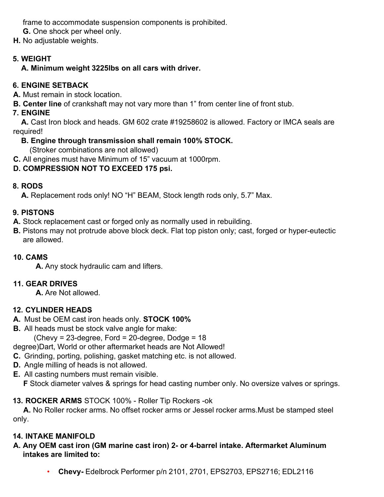frame to accommodate suspension components is prohibited.

**G.** One shock per wheel only.

**H.** No adjustable weights.

### **5. WEIGHT**

### **A. Minimum weight 3225lbs on all cars with driver.**

### **6. ENGINE SETBACK**

**A.** Must remain in stock location.

**B. Center line** of crankshaft may not vary more than 1" from center line of front stub.

### **7. ENGINE**

**A.** Cast Iron block and heads. GM 602 crate #19258602 is allowed. Factory or IMCA seals are required!

### **B. Engine through transmission shall remain 100% STOCK.**

(Stroker combinations are not allowed)

**C.** All engines must have Minimum of 15" vacuum at 1000rpm.

# **D. COMPRESSION NOT TO EXCEED 175 psi.**

### **8. RODS**

**A.** Replacement rods only! NO "H" BEAM, Stock length rods only, 5.7" Max.

### **9. PISTONS**

**A.** Stock replacement cast or forged only as normally used in rebuilding.

**B.** Pistons may not protrude above block deck. Flat top piston only; cast, forged or hyper-eutectic are allowed.

# **10. CAMS**

**A.** Any stock hydraulic cam and lifters.

### **11. GEAR DRIVES**

**A.** Are Not allowed.

### **12. CYLINDER HEADS**

- **A.** Must be OEM cast iron heads only. **STOCK 100%**
- **B.** All heads must be stock valve angle for make:

(Chevy = 23-degree, Ford = 20-degree, Dodge = 18

degree)Dart, World or other aftermarket heads are Not Allowed!

- **C.** Grinding, porting, polishing, gasket matching etc. is not allowed.
- **D.** Angle milling of heads is not allowed.
- **E.** All casting numbers must remain visible.

**F** Stock diameter valves & springs for head casting number only. No oversize valves or springs.

### **13. ROCKER ARMS** STOCK 100% - Roller Tip Rockers -ok

**A.** No Roller rocker arms. No offset rocker arms or Jessel rocker arms.Must be stamped steel only.

# **14. INTAKE MANIFOLD**

#### **A. Any OEM cast iron (GM marine cast iron) 2- or 4-barrel intake. Aftermarket Aluminum intakes are limited to:**

• **Chevy-** Edelbrock Performer p/n 2101, 2701, EPS2703, EPS2716; EDL2116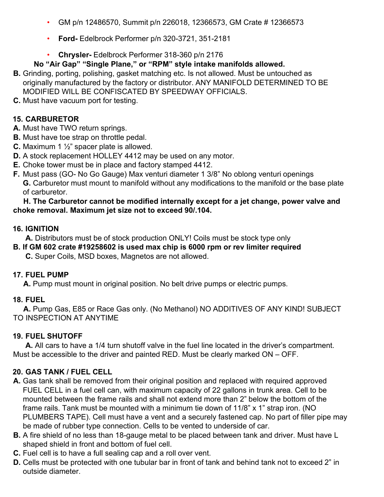- GM p/n 12486570, Summit p/n 226018, 12366573, GM Crate # 12366573
- **Ford-** Edelbrock Performer p/n 320-3721, 351-2181
- **Chrysler-** Edelbrock Performer 318-360 p/n 2176

#### **No "Air Gap" "Single Plane," or "RPM" style intake manifolds allowed.**

- **B.** Grinding, porting, polishing, gasket matching etc. Is not allowed. Must be untouched as originally manufactured by the factory or distributor. ANY MANIFOLD DETERMINED TO BE MODIFIED WILL BE CONFISCATED BY SPEEDWAY OFFICIALS.
- **C.** Must have vacuum port for testing.

#### **15. CARBURETOR**

- **A.** Must have TWO return springs.
- **B.** Must have toe strap on throttle pedal.
- **C.** Maximum 1 ½" spacer plate is allowed.
- **D.** A stock replacement HOLLEY 4412 may be used on any motor.
- **E.** Choke tower must be in place and factory stamped 4412.
- **F.** Must pass (GO- No Go Gauge) Max venturi diameter 1 3/8" No oblong venturi openings **G.** Carburetor must mount to manifold without any modifications to the manifold or the base plate of carburetor.

#### **H. The Carburetor cannot be modified internally except for a jet change, power valve and choke removal. Maximum jet size not to exceed 90/.104.**

#### **16. IGNITION**

**A.** Distributors must be of stock production ONLY! Coils must be stock type only

**B. If GM 602 crate #19258602 is used max chip is 6000 rpm or rev limiter required C.** Super Coils, MSD boxes, Magnetos are not allowed.

#### **17. FUEL PUMP**

**A.** Pump must mount in original position. No belt drive pumps or electric pumps.

#### **18. FUEL**

**A.** Pump Gas, E85 or Race Gas only. (No Methanol) NO ADDITIVES OF ANY KIND! SUBJECT TO INSPECTION AT ANYTIME

#### **19. FUEL SHUTOFF**

**A.** All cars to have a 1/4 turn shutoff valve in the fuel line located in the driver's compartment. Must be accessible to the driver and painted RED. Must be clearly marked ON – OFF.

#### **20. GAS TANK / FUEL CELL**

- **A.** Gas tank shall be removed from their original position and replaced with required approved FUEL CELL in a fuel cell can, with maximum capacity of 22 gallons in trunk area. Cell to be mounted between the frame rails and shall not extend more than 2" below the bottom of the frame rails. Tank must be mounted with a minimum tie down of 11/8" x 1" strap iron. (NO PLUMBERS TAPE). Cell must have a vent and a securely fastened cap. No part of filler pipe may be made of rubber type connection. Cells to be vented to underside of car.
- **B.** A fire shield of no less than 18-gauge metal to be placed between tank and driver. Must have L shaped shield in front and bottom of fuel cell.
- **C.** Fuel cell is to have a full sealing cap and a roll over vent.
- **D.** Cells must be protected with one tubular bar in front of tank and behind tank not to exceed 2" in outside diameter.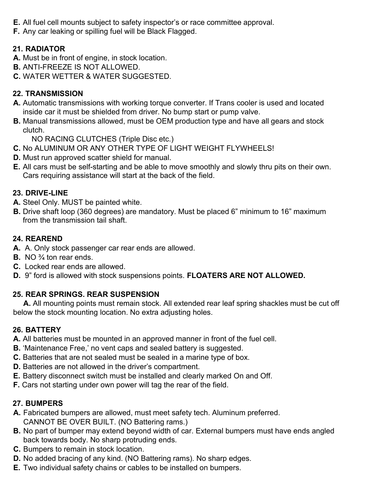- **E.** All fuel cell mounts subject to safety inspector's or race committee approval.
- **F.** Any car leaking or spilling fuel will be Black Flagged.

### **21. RADIATOR**

- **A.** Must be in front of engine, in stock location.
- **B.** ANTI-FREEZE IS NOT ALLOWED.
- **C.** WATER WETTER & WATER SUGGESTED.

#### **22. TRANSMISSION**

- **A.** Automatic transmissions with working torque converter. If Trans cooler is used and located inside car it must be shielded from driver. No bump start or pump valve.
- **B.** Manual transmissions allowed, must be OEM production type and have all gears and stock clutch.

NO RACING CLUTCHES (Triple Disc etc.)

- **C.** No ALUMINUM OR ANY OTHER TYPE OF LIGHT WEIGHT FLYWHEELS!
- **D.** Must run approved scatter shield for manual.
- **E.** All cars must be self-starting and be able to move smoothly and slowly thru pits on their own. Cars requiring assistance will start at the back of the field.

#### **23. DRIVE-LINE**

- **A.** Steel Only. MUST be painted white.
- **B.** Drive shaft loop (360 degrees) are mandatory. Must be placed 6" minimum to 16" maximum from the transmission tail shaft.

#### **24. REAREND**

- **A.** A. Only stock passenger car rear ends are allowed.
- **B.** NO ¾ ton rear ends.
- **C.** Locked rear ends are allowed.
- **D.** 9" ford is allowed with stock suspensions points. **FLOATERS ARE NOT ALLOWED.**

#### **25. REAR SPRINGS. REAR SUSPENSION**

**A.** All mounting points must remain stock. All extended rear leaf spring shackles must be cut off below the stock mounting location. No extra adjusting holes.

#### **26. BATTERY**

- **A.** All batteries must be mounted in an approved manner in front of the fuel cell.
- **B.** 'Maintenance Free,' no vent caps and sealed battery is suggested.
- **C.** Batteries that are not sealed must be sealed in a marine type of box.
- **D.** Batteries are not allowed in the driver's compartment.
- **E.** Battery disconnect switch must be installed and clearly marked On and Off.
- **F.** Cars not starting under own power will tag the rear of the field.

#### **27. BUMPERS**

- **A.** Fabricated bumpers are allowed, must meet safety tech. Aluminum preferred. CANNOT BE OVER BUILT. (NO Battering rams.)
- **B.** No part of bumper may extend beyond width of car. External bumpers must have ends angled back towards body. No sharp protruding ends.
- **C.** Bumpers to remain in stock location.
- **D.** No added bracing of any kind. (NO Battering rams). No sharp edges.
- **E.** Two individual safety chains or cables to be installed on bumpers.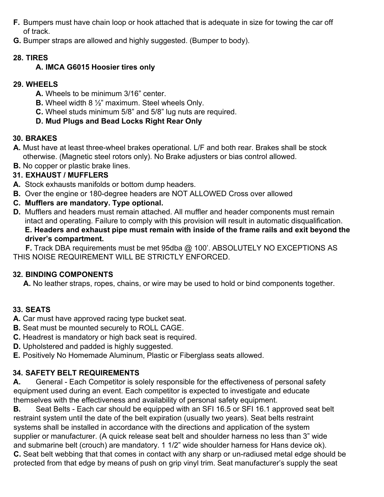- **F.** Bumpers must have chain loop or hook attached that is adequate in size for towing the car off of track.
- **G.** Bumper straps are allowed and highly suggested. (Bumper to body).

### **28. TIRES**

### **A. IMCA G6015 Hoosier tires only**

### **29. WHEELS**

- **A.** Wheels to be minimum 3/16" center.
- **B.** Wheel width 8 ½" maximum. Steel wheels Only.
- **C.** Wheel studs minimum 5/8" and 5/8" lug nuts are required.

### **D. Mud Plugs and Bead Locks Right Rear Only**

### **30. BRAKES**

- **A.** Must have at least three-wheel brakes operational. L/F and both rear. Brakes shall be stock otherwise. (Magnetic steel rotors only). No Brake adjusters or bias control allowed.
- **B.** No copper or plastic brake lines.

### **31. EXHAUST / MUFFLERS**

- **A.** Stock exhausts manifolds or bottom dump headers.
- **B.** Over the engine or 180-degree headers are NOT ALLOWED Cross over allowed
- **C. Mufflers are mandatory. Type optional.**
- **D.** Mufflers and headers must remain attached. All muffler and header components must remain intact and operating. Failure to comply with this provision will result in automatic disqualification. **E. Headers and exhaust pipe must remain with inside of the frame rails and exit beyond the driver's compartment.**

**F.** Track DBA requirements must be met 95dba @ 100'. ABSOLUTELY NO EXCEPTIONS AS THIS NOISE REQUIREMENT WILL BE STRICTLY ENFORCED.

#### **32. BINDING COMPONENTS**

**A.** No leather straps, ropes, chains, or wire may be used to hold or bind components together.

### **33. SEATS**

- **A.** Car must have approved racing type bucket seat.
- **B.** Seat must be mounted securely to ROLL CAGE.
- **C.** Headrest is mandatory or high back seat is required.
- **D.** Upholstered and padded is highly suggested.
- **E.** Positively No Homemade Aluminum, Plastic or Fiberglass seats allowed.

### **34. SAFETY BELT REQUIREMENTS**

**A.** General - Each Competitor is solely responsible for the effectiveness of personal safety equipment used during an event. Each competitor is expected to investigate and educate themselves with the effectiveness and availability of personal safety equipment.

**B.** Seat Belts - Each car should be equipped with an SFI 16.5 or SFI 16.1 approved seat belt restraint system until the date of the belt expiration (usually two years). Seat belts restraint systems shall be installed in accordance with the directions and application of the system supplier or manufacturer. (A quick release seat belt and shoulder harness no less than 3" wide and submarine belt (crouch) are mandatory. 1 1/2" wide shoulder harness for Hans device ok). **C.** Seat belt webbing that that comes in contact with any sharp or un-radiused metal edge should be protected from that edge by means of push on grip vinyl trim. Seat manufacturer's supply the seat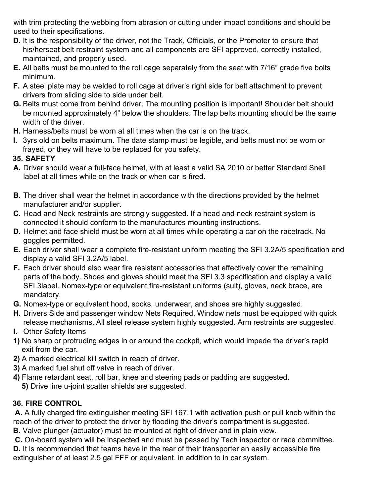with trim protecting the webbing from abrasion or cutting under impact conditions and should be used to their specifications.

- **D.** It is the responsibility of the driver, not the Track, Officials, or the Promoter to ensure that his/herseat belt restraint system and all components are SFI approved, correctly installed, maintained, and properly used.
- **E.** All belts must be mounted to the roll cage separately from the seat with 7/16" grade five bolts minimum.
- **F.** A steel plate may be welded to roll cage at driver's right side for belt attachment to prevent drivers from sliding side to side under belt.
- **G.** Belts must come from behind driver. The mounting position is important! Shoulder belt should be mounted approximately 4" below the shoulders. The lap belts mounting should be the same width of the driver.
- **H.** Harness/belts must be worn at all times when the car is on the track.
- **I.** 3yrs old on belts maximum. The date stamp must be legible, and belts must not be worn or frayed, or they will have to be replaced for you safety.

### **35. SAFETY**

- **A.** Driver should wear a full-face helmet, with at least a valid SA 2010 or better Standard Snell label at all times while on the track or when car is fired.
- **B.** The driver shall wear the helmet in accordance with the directions provided by the helmet manufacturer and/or supplier.
- **C.** Head and Neck restraints are strongly suggested. If a head and neck restraint system is connected it should conform to the manufactures mounting instructions.
- **D.** Helmet and face shield must be worn at all times while operating a car on the racetrack. No goggles permitted.
- **E.** Each driver shall wear a complete fire-resistant uniform meeting the SFI 3.2A/5 specification and display a valid SFI 3.2A/5 label.
- **F.** Each driver should also wear fire resistant accessories that effectively cover the remaining parts of the body. Shoes and gloves should meet the SFI 3.3 specification and display a valid SFI.3label. Nomex-type or equivalent fire-resistant uniforms (suit), gloves, neck brace, are mandatory.
- **G.** Nomex-type or equivalent hood, socks, underwear, and shoes are highly suggested.
- **H.** Drivers Side and passenger window Nets Required. Window nets must be equipped with quick release mechanisms. All steel release system highly suggested. Arm restraints are suggested. **I.** Other Safety Items
- - **1)** No sharp or protruding edges in or around the cockpit, which would impede the driver's rapid exit from the car.
	- **2)** A marked electrical kill switch in reach of driver.
	- **3)** A marked fuel shut off valve in reach of driver.
	- **4)** Flame retardant seat, roll bar, knee and steering pads or padding are suggested. **5)** Drive line u-joint scatter shields are suggested.

#### **36. FIRE CONTROL**

**A.** A fully charged fire extinguisher meeting SFI 167.1 with activation push or pull knob within the reach of the driver to protect the driver by flooding the driver's compartment is suggested.

**B.** Valve plunger (actuator) must be mounted at right of driver and in plain view.

**C.** On-board system will be inspected and must be passed by Tech inspector or race committee.

**D.** It is recommended that teams have in the rear of their transporter an easily accessible fire extinguisher of at least 2.5 gal FFF or equivalent. in addition to in car system.